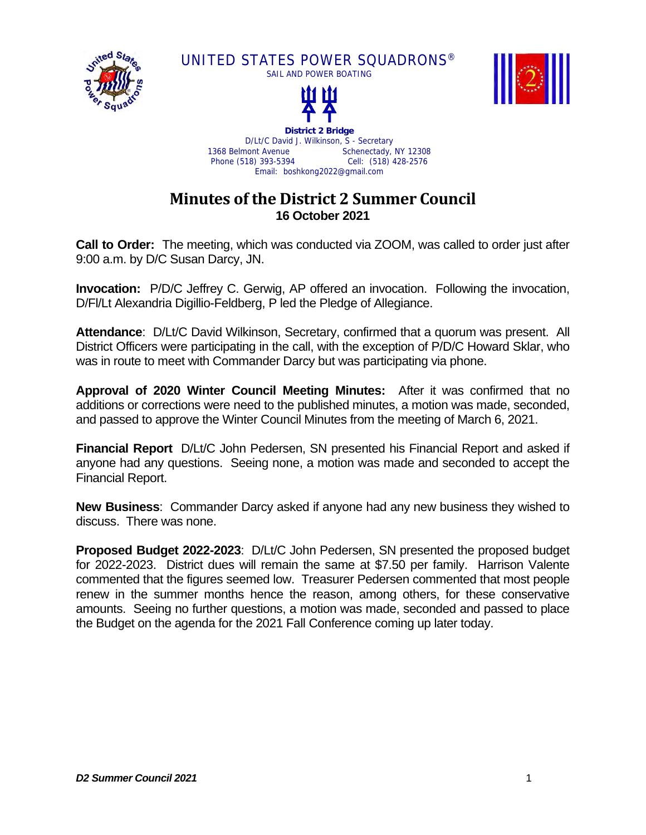

UNITED STATES POWER SQUADRONS®





**District 2 Bridge**  D/Lt/C David J. Wilkinson, S - Secretary<br>1368 Belmont Avenue Schenectady. Schenectady, NY 12308 Phone (518) 393-5394 Cell: (518) 428-2576 Email: boshkong2022@gmail.com

## **Minutes of the District 2 Summer Council 16 October 2021**

**Call to Order:** The meeting, which was conducted via ZOOM, was called to order just after 9:00 a.m. by D/C Susan Darcy, JN.

**Invocation:** P/D/C Jeffrey C. Gerwig, AP offered an invocation. Following the invocation, D/Fl/Lt Alexandria Digillio-Feldberg, P led the Pledge of Allegiance.

**Attendance**: D/Lt/C David Wilkinson, Secretary, confirmed that a quorum was present. All District Officers were participating in the call, with the exception of P/D/C Howard Sklar, who was in route to meet with Commander Darcy but was participating via phone.

**Approval of 2020 Winter Council Meeting Minutes:** After it was confirmed that no additions or corrections were need to the published minutes, a motion was made, seconded, and passed to approve the Winter Council Minutes from the meeting of March 6, 2021.

**Financial Report** D/Lt/C John Pedersen, SN presented his Financial Report and asked if anyone had any questions. Seeing none, a motion was made and seconded to accept the Financial Report.

**New Business**: Commander Darcy asked if anyone had any new business they wished to discuss. There was none.

**Proposed Budget 2022-2023**: D/Lt/C John Pedersen, SN presented the proposed budget for 2022-2023. District dues will remain the same at \$7.50 per family. Harrison Valente commented that the figures seemed low. Treasurer Pedersen commented that most people renew in the summer months hence the reason, among others, for these conservative amounts. Seeing no further questions, a motion was made, seconded and passed to place the Budget on the agenda for the 2021 Fall Conference coming up later today.